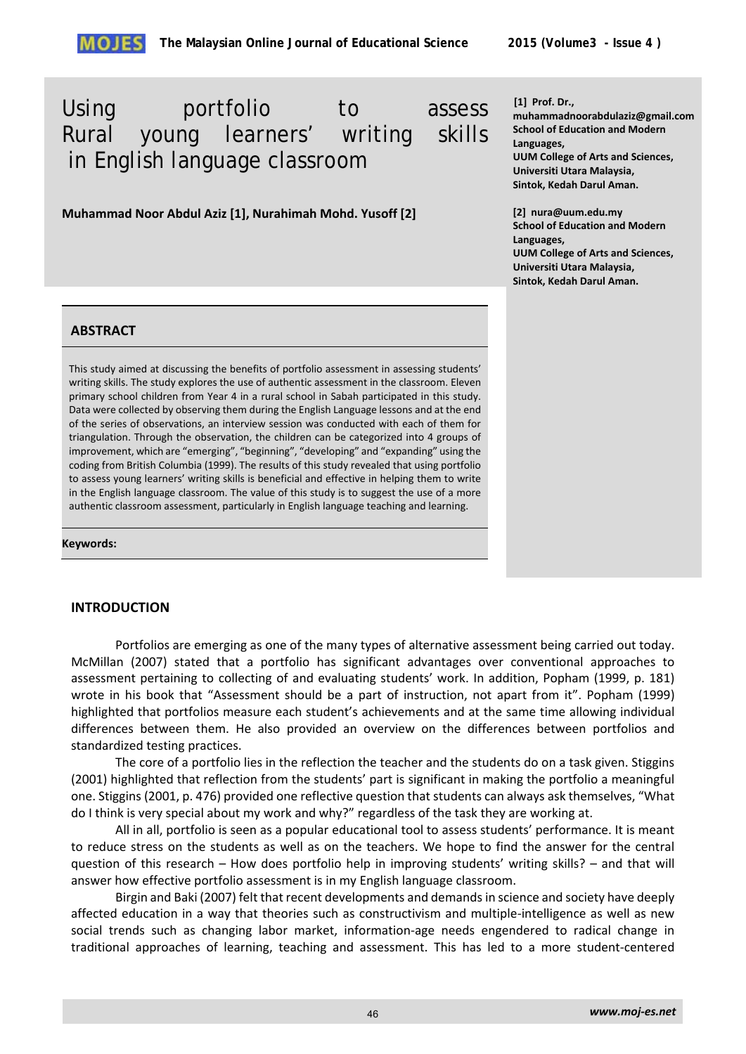# Using portfolio to assess Rural young learners' writing skills in English language classroom

**Muhammad Noor Abdul Aziz [1], Nurahimah Mohd. Yusoff [2]**

#### **[1] Prof. Dr.,**

**muhammadnoorabdulaziz@gmail.com School of Education and Modern Languages, UUM College of Arts and Sciences, Universiti Utara Malaysia, Sintok, Kedah Darul Aman.**

**[2] nura@uum.edu.my School of Education and Modern Languages, UUM College of Arts and Sciences, Universiti Utara Malaysia, Sintok, Kedah Darul Aman.**

# **ABSTRACT**

This study aimed at discussing the benefits of portfolio assessment in assessing students' writing skills. The study explores the use of authentic assessment in the classroom. Eleven primary school children from Year 4 in a rural school in Sabah participated in this study. Data were collected by observing them during the English Language lessons and at the end of the series of observations, an interview session was conducted with each of them for triangulation. Through the observation, the children can be categorized into 4 groups of improvement, which are "emerging", "beginning", "developing" and "expanding" using the coding from British Columbia (1999). The results of this study revealed that using portfolio to assess young learners' writing skills is beneficial and effective in helping them to write in the English language classroom. The value of this study is to suggest the use of a more authentic classroom assessment, particularly in English language teaching and learning.

#### **Keywords:**

# **INTRODUCTION**

Portfolios are emerging as one of the many types of alternative assessment being carried out today. McMillan (2007) stated that a portfolio has significant advantages over conventional approaches to assessment pertaining to collecting of and evaluating students' work. In addition, Popham (1999, p. 181) wrote in his book that "Assessment should be a part of instruction, not apart from it". Popham (1999) highlighted that portfolios measure each student's achievements and at the same time allowing individual differences between them. He also provided an overview on the differences between portfolios and standardized testing practices.

The core of a portfolio lies in the reflection the teacher and the students do on a task given. Stiggins (2001) highlighted that reflection from the students' part is significant in making the portfolio a meaningful one. Stiggins (2001, p. 476) provided one reflective question that students can always ask themselves, "What do I think is very special about my work and why?" regardless of the task they are working at.

All in all, portfolio is seen as a popular educational tool to assess students' performance. It is meant to reduce stress on the students as well as on the teachers. We hope to find the answer for the central question of this research – How does portfolio help in improving students' writing skills? – and that will answer how effective portfolio assessment is in my English language classroom.

Birgin and Baki (2007) felt that recent developments and demands in science and society have deeply affected education in a way that theories such as constructivism and multiple-intelligence as well as new social trends such as changing labor market, information-age needs engendered to radical change in traditional approaches of learning, teaching and assessment. This has led to a more student-centered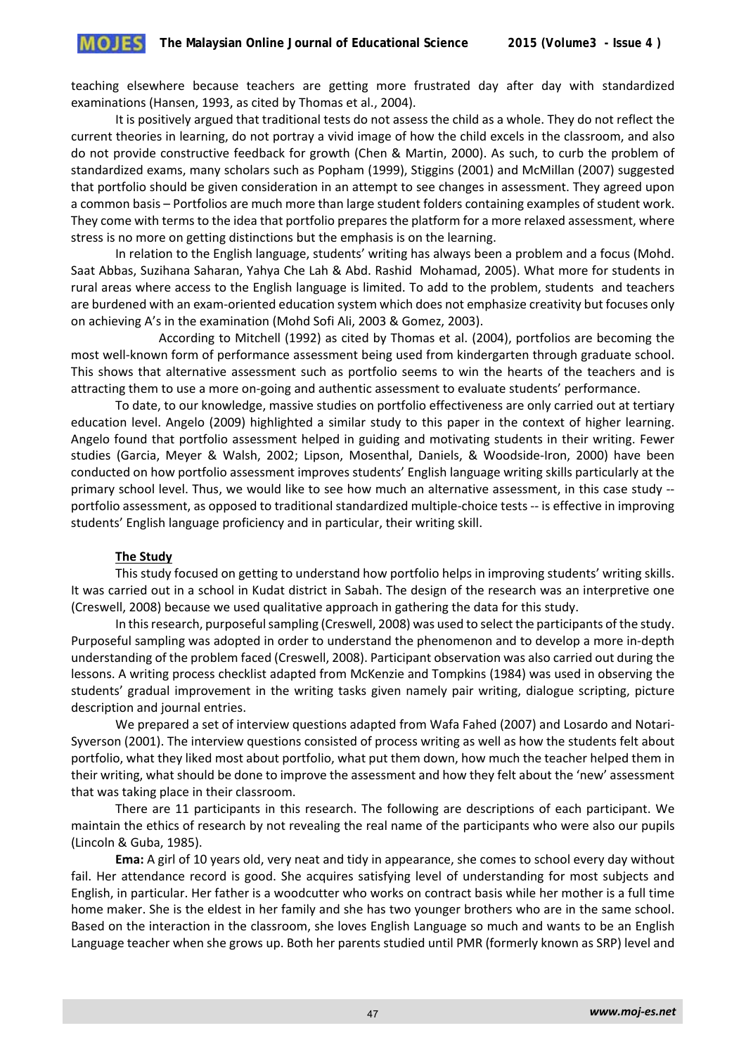teaching elsewhere because teachers are getting more frustrated day after day with standardized examinations (Hansen, 1993, as cited by Thomas et al., 2004).

It is positively argued that traditional tests do not assess the child as a whole. They do not reflect the current theories in learning, do not portray a vivid image of how the child excels in the classroom, and also do not provide constructive feedback for growth (Chen & Martin, 2000). As such, to curb the problem of standardized exams, many scholars such as Popham (1999), Stiggins (2001) and McMillan (2007) suggested that portfolio should be given consideration in an attempt to see changes in assessment. They agreed upon a common basis – Portfolios are much more than large student folders containing examples of student work. They come with terms to the idea that portfolio prepares the platform for a more relaxed assessment, where stress is no more on getting distinctions but the emphasis is on the learning.

In relation to the English language, students' writing has always been a problem and a focus (Mohd. Saat Abbas, Suzihana Saharan, Yahya Che Lah & Abd. Rashid Mohamad, 2005). What more for students in rural areas where access to the English language is limited. To add to the problem, students and teachers are burdened with an exam-oriented education system which does not emphasize creativity but focuses only on achieving A's in the examination (Mohd Sofi Ali, 2003 & Gomez, 2003).

 According to Mitchell (1992) as cited by Thomas et al. (2004), portfolios are becoming the most well-known form of performance assessment being used from kindergarten through graduate school. This shows that alternative assessment such as portfolio seems to win the hearts of the teachers and is attracting them to use a more on-going and authentic assessment to evaluate students' performance.

To date, to our knowledge, massive studies on portfolio effectiveness are only carried out at tertiary education level. Angelo (2009) highlighted a similar study to this paper in the context of higher learning. Angelo found that portfolio assessment helped in guiding and motivating students in their writing. Fewer studies (Garcia, Meyer & Walsh, 2002; Lipson, Mosenthal, Daniels, & Woodside-Iron, 2000) have been conducted on how portfolio assessment improves students' English language writing skills particularly at the primary school level. Thus, we would like to see how much an alternative assessment, in this case study - portfolio assessment, as opposed to traditional standardized multiple-choice tests -- is effective in improving students' English language proficiency and in particular, their writing skill.

## **The Study**

This study focused on getting to understand how portfolio helps in improving students' writing skills. It was carried out in a school in Kudat district in Sabah. The design of the research was an interpretive one (Creswell, 2008) because we used qualitative approach in gathering the data for this study.

In this research, purposeful sampling (Creswell, 2008) was used to select the participants of the study. Purposeful sampling was adopted in order to understand the phenomenon and to develop a more in-depth understanding of the problem faced (Creswell, 2008). Participant observation was also carried out during the lessons. A writing process checklist adapted from McKenzie and Tompkins (1984) was used in observing the students' gradual improvement in the writing tasks given namely pair writing, dialogue scripting, picture description and journal entries.

We prepared a set of interview questions adapted from Wafa Fahed (2007) and Losardo and Notari-Syverson (2001). The interview questions consisted of process writing as well as how the students felt about portfolio, what they liked most about portfolio, what put them down, how much the teacher helped them in their writing, what should be done to improve the assessment and how they felt about the 'new' assessment that was taking place in their classroom.

There are 11 participants in this research. The following are descriptions of each participant. We maintain the ethics of research by not revealing the real name of the participants who were also our pupils (Lincoln & Guba, 1985).

**Ema:** A girl of 10 years old, very neat and tidy in appearance, she comes to school every day without fail. Her attendance record is good. She acquires satisfying level of understanding for most subjects and English, in particular. Her father is a woodcutter who works on contract basis while her mother is a full time home maker. She is the eldest in her family and she has two younger brothers who are in the same school. Based on the interaction in the classroom, she loves English Language so much and wants to be an English Language teacher when she grows up. Both her parents studied until PMR (formerly known as SRP) level and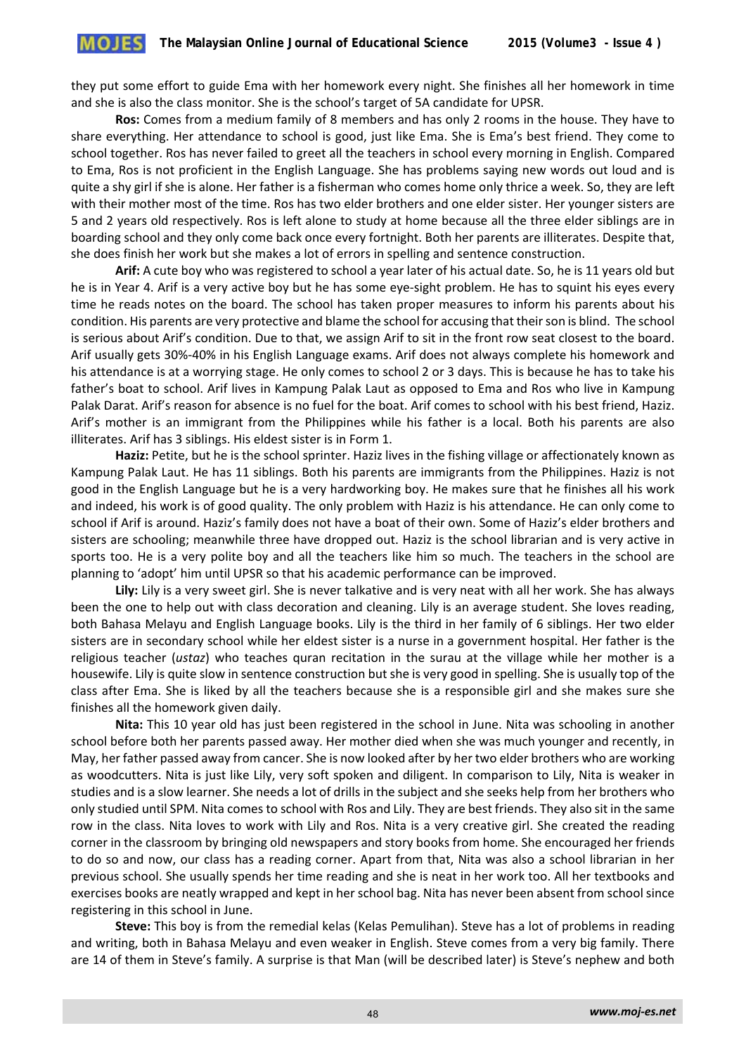they put some effort to guide Ema with her homework every night. She finishes all her homework in time and she is also the class monitor. She is the school's target of 5A candidate for UPSR.

**Ros:** Comes from a medium family of 8 members and has only 2 rooms in the house. They have to share everything. Her attendance to school is good, just like Ema. She is Ema's best friend. They come to school together. Ros has never failed to greet all the teachers in school every morning in English. Compared to Ema, Ros is not proficient in the English Language. She has problems saying new words out loud and is quite a shy girl if she is alone. Her father is a fisherman who comes home only thrice a week. So, they are left with their mother most of the time. Ros has two elder brothers and one elder sister. Her younger sisters are 5 and 2 years old respectively. Ros is left alone to study at home because all the three elder siblings are in boarding school and they only come back once every fortnight. Both her parents are illiterates. Despite that, she does finish her work but she makes a lot of errors in spelling and sentence construction.

**Arif:** A cute boy who was registered to school a year later of his actual date. So, he is 11 years old but he is in Year 4. Arif is a very active boy but he has some eye-sight problem. He has to squint his eyes every time he reads notes on the board. The school has taken proper measures to inform his parents about his condition. His parents are very protective and blame the school for accusing that their son is blind. The school is serious about Arif's condition. Due to that, we assign Arif to sit in the front row seat closest to the board. Arif usually gets 30%-40% in his English Language exams. Arif does not always complete his homework and his attendance is at a worrying stage. He only comes to school 2 or 3 days. This is because he has to take his father's boat to school. Arif lives in Kampung Palak Laut as opposed to Ema and Ros who live in Kampung Palak Darat. Arif's reason for absence is no fuel for the boat. Arif comes to school with his best friend, Haziz. Arif's mother is an immigrant from the Philippines while his father is a local. Both his parents are also illiterates. Arif has 3 siblings. His eldest sister is in Form 1.

**Haziz:** Petite, but he is the school sprinter. Haziz lives in the fishing village or affectionately known as Kampung Palak Laut. He has 11 siblings. Both his parents are immigrants from the Philippines. Haziz is not good in the English Language but he is a very hardworking boy. He makes sure that he finishes all his work and indeed, his work is of good quality. The only problem with Haziz is his attendance. He can only come to school if Arif is around. Haziz's family does not have a boat of their own. Some of Haziz's elder brothers and sisters are schooling; meanwhile three have dropped out. Haziz is the school librarian and is very active in sports too. He is a very polite boy and all the teachers like him so much. The teachers in the school are planning to 'adopt' him until UPSR so that his academic performance can be improved.

**Lily:** Lily is a very sweet girl. She is never talkative and is very neat with all her work. She has always been the one to help out with class decoration and cleaning. Lily is an average student. She loves reading, both Bahasa Melayu and English Language books. Lily is the third in her family of 6 siblings. Her two elder sisters are in secondary school while her eldest sister is a nurse in a government hospital. Her father is the religious teacher (*ustaz*) who teaches quran recitation in the surau at the village while her mother is a housewife. Lily is quite slow in sentence construction but she is very good in spelling. She is usually top of the class after Ema. She is liked by all the teachers because she is a responsible girl and she makes sure she finishes all the homework given daily.

**Nita:** This 10 year old has just been registered in the school in June. Nita was schooling in another school before both her parents passed away. Her mother died when she was much younger and recently, in May, her father passed away from cancer. She is now looked after by her two elder brothers who are working as woodcutters. Nita is just like Lily, very soft spoken and diligent. In comparison to Lily, Nita is weaker in studies and is a slow learner. She needs a lot of drills in the subject and she seeks help from her brothers who only studied until SPM. Nita comes to school with Ros and Lily. They are best friends. They also sit in the same row in the class. Nita loves to work with Lily and Ros. Nita is a very creative girl. She created the reading corner in the classroom by bringing old newspapers and story books from home. She encouraged her friends to do so and now, our class has a reading corner. Apart from that, Nita was also a school librarian in her previous school. She usually spends her time reading and she is neat in her work too. All her textbooks and exercises books are neatly wrapped and kept in her school bag. Nita has never been absent from school since registering in this school in June.

**Steve:** This boy is from the remedial kelas (Kelas Pemulihan). Steve has a lot of problems in reading and writing, both in Bahasa Melayu and even weaker in English. Steve comes from a very big family. There are 14 of them in Steve's family. A surprise is that Man (will be described later) is Steve's nephew and both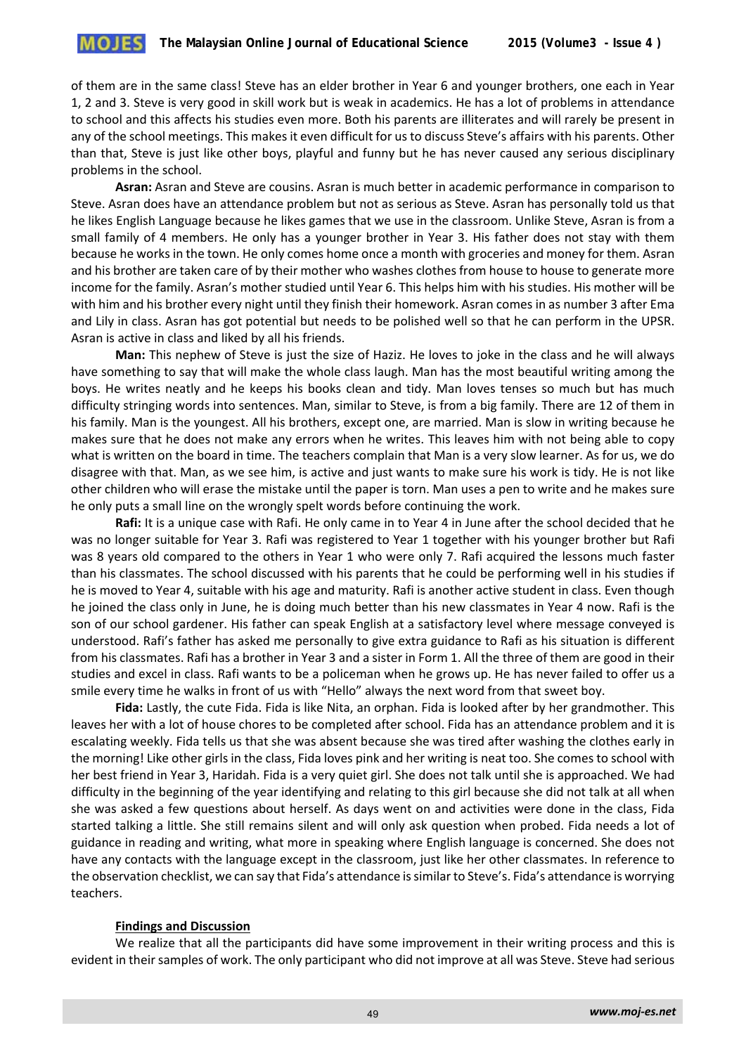of them are in the same class! Steve has an elder brother in Year 6 and younger brothers, one each in Year 1, 2 and 3. Steve is very good in skill work but is weak in academics. He has a lot of problems in attendance to school and this affects his studies even more. Both his parents are illiterates and will rarely be present in any of the school meetings. This makes it even difficult for us to discuss Steve's affairs with his parents. Other than that, Steve is just like other boys, playful and funny but he has never caused any serious disciplinary problems in the school.

**Asran:** Asran and Steve are cousins. Asran is much better in academic performance in comparison to Steve. Asran does have an attendance problem but not as serious as Steve. Asran has personally told us that he likes English Language because he likes games that we use in the classroom. Unlike Steve, Asran is from a small family of 4 members. He only has a younger brother in Year 3. His father does not stay with them because he works in the town. He only comes home once a month with groceries and money for them. Asran and his brother are taken care of by their mother who washes clothes from house to house to generate more income for the family. Asran's mother studied until Year 6. This helps him with his studies. His mother will be with him and his brother every night until they finish their homework. Asran comes in as number 3 after Ema and Lily in class. Asran has got potential but needs to be polished well so that he can perform in the UPSR. Asran is active in class and liked by all his friends.

**Man:** This nephew of Steve is just the size of Haziz. He loves to joke in the class and he will always have something to say that will make the whole class laugh. Man has the most beautiful writing among the boys. He writes neatly and he keeps his books clean and tidy. Man loves tenses so much but has much difficulty stringing words into sentences. Man, similar to Steve, is from a big family. There are 12 of them in his family. Man is the youngest. All his brothers, except one, are married. Man is slow in writing because he makes sure that he does not make any errors when he writes. This leaves him with not being able to copy what is written on the board in time. The teachers complain that Man is a very slow learner. As for us, we do disagree with that. Man, as we see him, is active and just wants to make sure his work is tidy. He is not like other children who will erase the mistake until the paper is torn. Man uses a pen to write and he makes sure he only puts a small line on the wrongly spelt words before continuing the work.

**Rafi:** It is a unique case with Rafi. He only came in to Year 4 in June after the school decided that he was no longer suitable for Year 3. Rafi was registered to Year 1 together with his younger brother but Rafi was 8 years old compared to the others in Year 1 who were only 7. Rafi acquired the lessons much faster than his classmates. The school discussed with his parents that he could be performing well in his studies if he is moved to Year 4, suitable with his age and maturity. Rafi is another active student in class. Even though he joined the class only in June, he is doing much better than his new classmates in Year 4 now. Rafi is the son of our school gardener. His father can speak English at a satisfactory level where message conveyed is understood. Rafi's father has asked me personally to give extra guidance to Rafi as his situation is different from his classmates. Rafi has a brother in Year 3 and a sister in Form 1. All the three of them are good in their studies and excel in class. Rafi wants to be a policeman when he grows up. He has never failed to offer us a smile every time he walks in front of us with "Hello" always the next word from that sweet boy.

**Fida:** Lastly, the cute Fida. Fida is like Nita, an orphan. Fida is looked after by her grandmother. This leaves her with a lot of house chores to be completed after school. Fida has an attendance problem and it is escalating weekly. Fida tells us that she was absent because she was tired after washing the clothes early in the morning! Like other girls in the class, Fida loves pink and her writing is neat too. She comes to school with her best friend in Year 3, Haridah. Fida is a very quiet girl. She does not talk until she is approached. We had difficulty in the beginning of the year identifying and relating to this girl because she did not talk at all when she was asked a few questions about herself. As days went on and activities were done in the class, Fida started talking a little. She still remains silent and will only ask question when probed. Fida needs a lot of guidance in reading and writing, what more in speaking where English language is concerned. She does not have any contacts with the language except in the classroom, just like her other classmates. In reference to the observation checklist, we can say that Fida's attendance is similar to Steve's. Fida's attendance is worrying teachers.

#### **Findings and Discussion**

We realize that all the participants did have some improvement in their writing process and this is evident in their samples of work. The only participant who did not improve at all was Steve. Steve had serious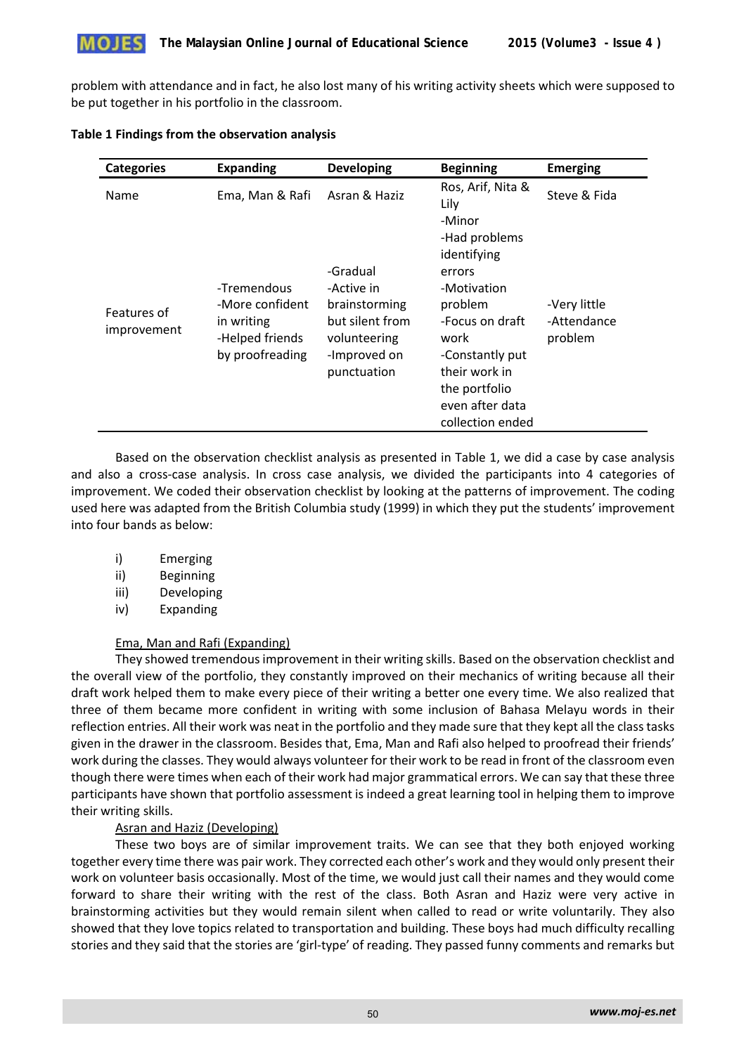

problem with attendance and in fact, he also lost many of his writing activity sheets which were supposed to be put together in his portfolio in the classroom.

#### **Table 1 Findings from the observation analysis**

| <b>Categories</b>          | <b>Expanding</b>                                                                   | <b>Developing</b>                                                                                         | <b>Beginning</b>                                                                                                                                                                                  | <b>Emerging</b>                        |
|----------------------------|------------------------------------------------------------------------------------|-----------------------------------------------------------------------------------------------------------|---------------------------------------------------------------------------------------------------------------------------------------------------------------------------------------------------|----------------------------------------|
| Name                       | Ema, Man & Rafi                                                                    | Asran & Haziz                                                                                             | Ros, Arif, Nita &<br>Lily                                                                                                                                                                         | Steve & Fida                           |
| Features of<br>improvement | -Tremendous<br>-More confident<br>in writing<br>-Helped friends<br>by proofreading | -Gradual<br>-Active in<br>brainstorming<br>but silent from<br>volunteering<br>-Improved on<br>punctuation | -Minor<br>-Had problems<br>identifying<br>errors<br>-Motivation<br>problem<br>-Focus on draft<br>work<br>-Constantly put<br>their work in<br>the portfolio<br>even after data<br>collection ended | -Very little<br>-Attendance<br>problem |

Based on the observation checklist analysis as presented in Table 1, we did a case by case analysis and also a cross-case analysis. In cross case analysis, we divided the participants into 4 categories of improvement. We coded their observation checklist by looking at the patterns of improvement. The coding used here was adapted from the British Columbia study (1999) in which they put the students' improvement into four bands as below:

- i) Emerging
- ii) Beginning
- iii) Developing
- iv) Expanding

## Ema, Man and Rafi (Expanding)

They showed tremendous improvement in their writing skills. Based on the observation checklist and the overall view of the portfolio, they constantly improved on their mechanics of writing because all their draft work helped them to make every piece of their writing a better one every time. We also realized that three of them became more confident in writing with some inclusion of Bahasa Melayu words in their reflection entries. All their work was neat in the portfolio and they made sure that they kept all the class tasks given in the drawer in the classroom. Besides that, Ema, Man and Rafi also helped to proofread their friends' work during the classes. They would always volunteer for their work to be read in front of the classroom even though there were times when each of their work had major grammatical errors. We can say that these three participants have shown that portfolio assessment is indeed a great learning tool in helping them to improve their writing skills.

# Asran and Haziz (Developing)

These two boys are of similar improvement traits. We can see that they both enjoyed working together every time there was pair work. They corrected each other's work and they would only present their work on volunteer basis occasionally. Most of the time, we would just call their names and they would come forward to share their writing with the rest of the class. Both Asran and Haziz were very active in brainstorming activities but they would remain silent when called to read or write voluntarily. They also showed that they love topics related to transportation and building. These boys had much difficulty recalling stories and they said that the stories are 'girl-type' of reading. They passed funny comments and remarks but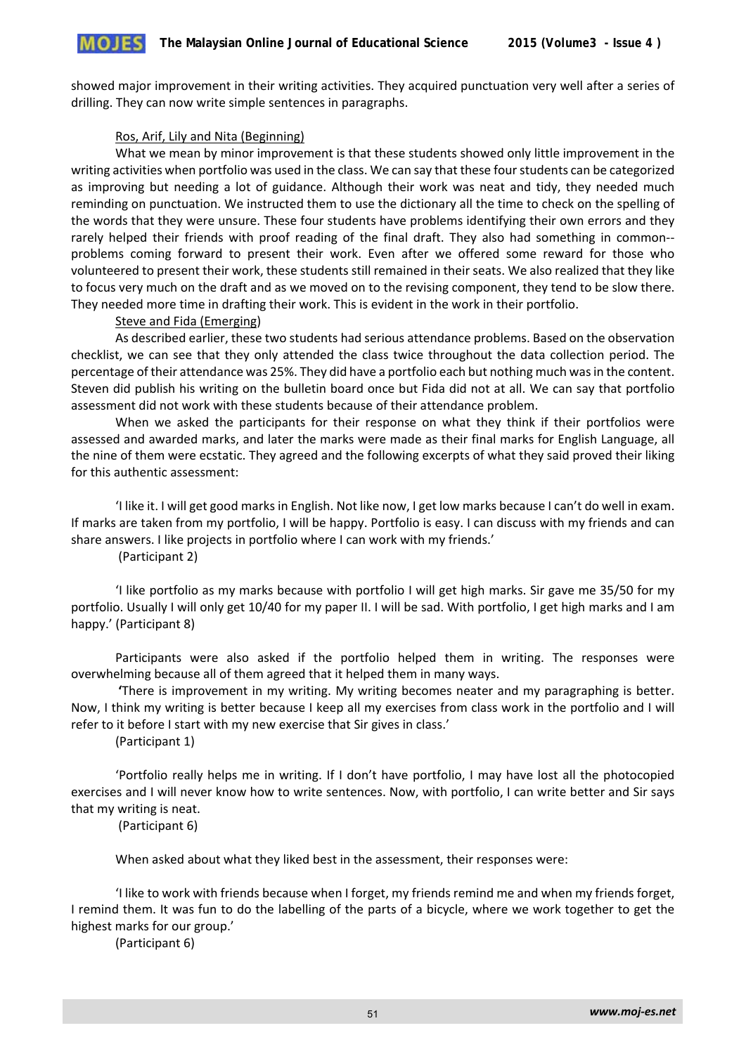showed major improvement in their writing activities. They acquired punctuation very well after a series of drilling. They can now write simple sentences in paragraphs.

#### Ros, Arif, Lily and Nita (Beginning)

What we mean by minor improvement is that these students showed only little improvement in the writing activities when portfolio was used in the class. We can say that these four students can be categorized as improving but needing a lot of guidance. Although their work was neat and tidy, they needed much reminding on punctuation. We instructed them to use the dictionary all the time to check on the spelling of the words that they were unsure. These four students have problems identifying their own errors and they rarely helped their friends with proof reading of the final draft. They also had something in common- problems coming forward to present their work. Even after we offered some reward for those who volunteered to present their work, these students still remained in their seats. We also realized that they like to focus very much on the draft and as we moved on to the revising component, they tend to be slow there. They needed more time in drafting their work. This is evident in the work in their portfolio.

#### Steve and Fida (Emerging)

As described earlier, these two students had serious attendance problems. Based on the observation checklist, we can see that they only attended the class twice throughout the data collection period. The percentage of their attendance was 25%. They did have a portfolio each but nothing much was in the content. Steven did publish his writing on the bulletin board once but Fida did not at all. We can say that portfolio assessment did not work with these students because of their attendance problem.

When we asked the participants for their response on what they think if their portfolios were assessed and awarded marks, and later the marks were made as their final marks for English Language, all the nine of them were ecstatic. They agreed and the following excerpts of what they said proved their liking for this authentic assessment:

'I like it. I will get good marks in English. Not like now, I get low marks because I can't do well in exam. If marks are taken from my portfolio, I will be happy. Portfolio is easy. I can discuss with my friends and can share answers. I like projects in portfolio where I can work with my friends.'

(Participant 2)

'I like portfolio as my marks because with portfolio I will get high marks. Sir gave me 35/50 for my portfolio. Usually I will only get 10/40 for my paper II. I will be sad. With portfolio, I get high marks and I am happy.' (Participant 8)

Participants were also asked if the portfolio helped them in writing. The responses were overwhelming because all of them agreed that it helped them in many ways.

 **'**There is improvement in my writing. My writing becomes neater and my paragraphing is better. Now, I think my writing is better because I keep all my exercises from class work in the portfolio and I will refer to it before I start with my new exercise that Sir gives in class.'

(Participant 1)

'Portfolio really helps me in writing. If I don't have portfolio, I may have lost all the photocopied exercises and I will never know how to write sentences. Now, with portfolio, I can write better and Sir says that my writing is neat.

(Participant 6)

When asked about what they liked best in the assessment, their responses were:

'I like to work with friends because when I forget, my friends remind me and when my friends forget, I remind them. It was fun to do the labelling of the parts of a bicycle, where we work together to get the highest marks for our group.'

(Participant 6)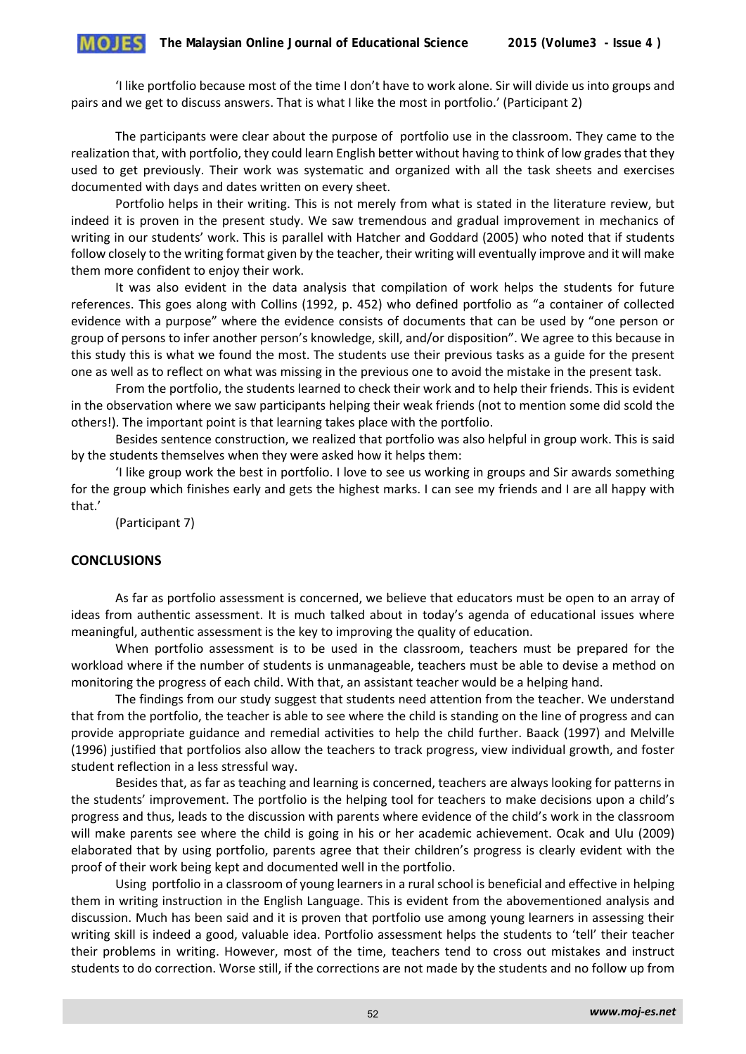'I like portfolio because most of the time I don't have to work alone. Sir will divide us into groups and pairs and we get to discuss answers. That is what I like the most in portfolio.' (Participant 2)

The participants were clear about the purpose of portfolio use in the classroom. They came to the realization that, with portfolio, they could learn English better without having to think of low grades that they used to get previously. Their work was systematic and organized with all the task sheets and exercises documented with days and dates written on every sheet.

Portfolio helps in their writing. This is not merely from what is stated in the literature review, but indeed it is proven in the present study. We saw tremendous and gradual improvement in mechanics of writing in our students' work. This is parallel with Hatcher and Goddard (2005) who noted that if students follow closely to the writing format given by the teacher, their writing will eventually improve and it will make them more confident to enjoy their work.

It was also evident in the data analysis that compilation of work helps the students for future references. This goes along with Collins (1992, p. 452) who defined portfolio as "a container of collected evidence with a purpose" where the evidence consists of documents that can be used by "one person or group of persons to infer another person's knowledge, skill, and/or disposition". We agree to this because in this study this is what we found the most. The students use their previous tasks as a guide for the present one as well as to reflect on what was missing in the previous one to avoid the mistake in the present task.

From the portfolio, the students learned to check their work and to help their friends. This is evident in the observation where we saw participants helping their weak friends (not to mention some did scold the others!). The important point is that learning takes place with the portfolio.

Besides sentence construction, we realized that portfolio was also helpful in group work. This is said by the students themselves when they were asked how it helps them:

'I like group work the best in portfolio. I love to see us working in groups and Sir awards something for the group which finishes early and gets the highest marks. I can see my friends and I are all happy with that.'

(Participant 7)

## **CONCLUSIONS**

As far as portfolio assessment is concerned, we believe that educators must be open to an array of ideas from authentic assessment. It is much talked about in today's agenda of educational issues where meaningful, authentic assessment is the key to improving the quality of education.

When portfolio assessment is to be used in the classroom, teachers must be prepared for the workload where if the number of students is unmanageable, teachers must be able to devise a method on monitoring the progress of each child. With that, an assistant teacher would be a helping hand.

The findings from our study suggest that students need attention from the teacher. We understand that from the portfolio, the teacher is able to see where the child is standing on the line of progress and can provide appropriate guidance and remedial activities to help the child further. Baack (1997) and Melville (1996) justified that portfolios also allow the teachers to track progress, view individual growth, and foster student reflection in a less stressful way.

Besides that, as far as teaching and learning is concerned, teachers are always looking for patterns in the students' improvement. The portfolio is the helping tool for teachers to make decisions upon a child's progress and thus, leads to the discussion with parents where evidence of the child's work in the classroom will make parents see where the child is going in his or her academic achievement. Ocak and Ulu (2009) elaborated that by using portfolio, parents agree that their children's progress is clearly evident with the proof of their work being kept and documented well in the portfolio.

Using portfolio in a classroom of young learners in a rural school is beneficial and effective in helping them in writing instruction in the English Language. This is evident from the abovementioned analysis and discussion. Much has been said and it is proven that portfolio use among young learners in assessing their writing skill is indeed a good, valuable idea. Portfolio assessment helps the students to 'tell' their teacher their problems in writing. However, most of the time, teachers tend to cross out mistakes and instruct students to do correction. Worse still, if the corrections are not made by the students and no follow up from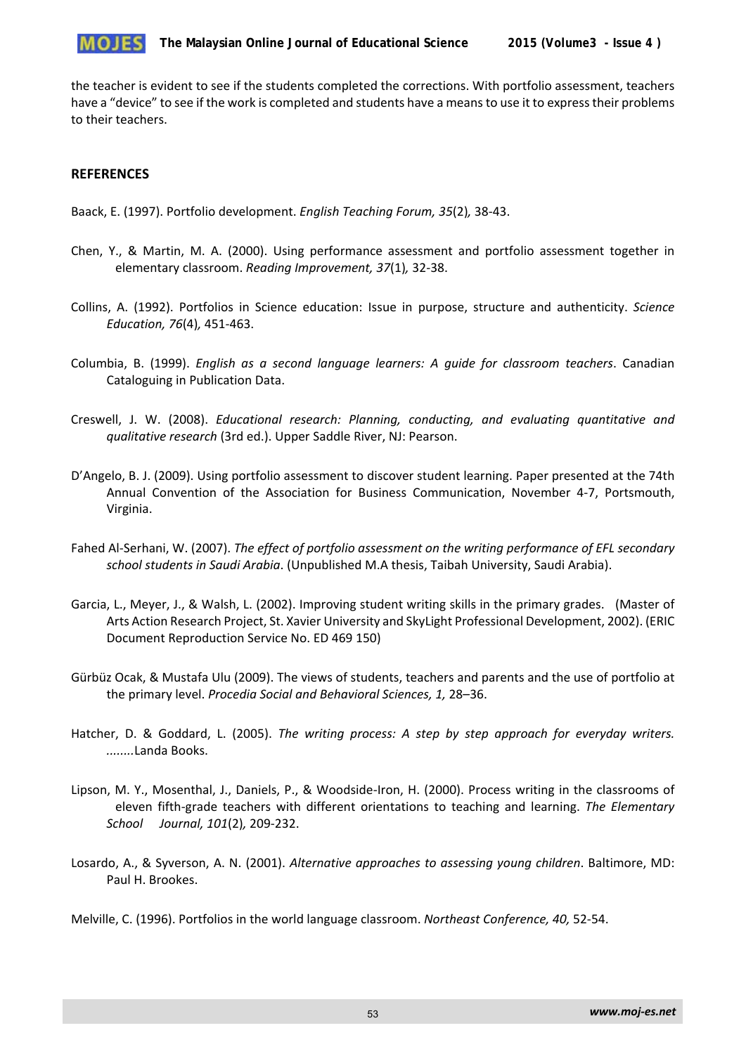

the teacher is evident to see if the students completed the corrections. With portfolio assessment, teachers have a "device" to see if the work is completed and students have a means to use it to express their problems to their teachers.

## **REFERENCES**

Baack, E. (1997). Portfolio development. *English Teaching Forum, 35*(2)*,* 38-43.

- Chen, Y., & Martin, M. A. (2000). Using performance assessment and portfolio assessment together in elementary classroom. *Reading Improvement, 37*(1)*,* 32-38.
- Collins, A. (1992). Portfolios in Science education: Issue in purpose, structure and authenticity. *Science Education, 76*(4)*,* 451-463.
- Columbia, B. (1999). *English as a second language learners: A guide for classroom teachers*. Canadian Cataloguing in Publication Data.
- Creswell, J. W. (2008). *Educational research: Planning, conducting, and evaluating quantitative and qualitative research* (3rd ed.). Upper Saddle River, NJ: Pearson.
- D'Angelo, B. J. (2009). Using portfolio assessment to discover student learning. Paper presented at the 74th Annual Convention of the Association for Business Communication, November 4-7, Portsmouth, Virginia.
- Fahed Al-Serhani, W. (2007). *The effect of portfolio assessment on the writing performance of EFL secondary school students in Saudi Arabia*. (Unpublished M.A thesis, Taibah University, Saudi Arabia).
- Garcia, L., Meyer, J., & Walsh, L. (2002). Improving student writing skills in the primary grades. (Master of Arts Action Research Project, St. Xavier University and SkyLight Professional Development, 2002). (ERIC Document Reproduction Service No. ED 469 150)
- Gürbüz Ocak, & Mustafa Ulu (2009). The views of students, teachers and parents and the use of portfolio at the primary level. *Procedia Social and Behavioral Sciences, 1,* 28–36.
- Hatcher, D. & Goddard, L. (2005). *The writing process: A step by step approach for everyday writers. ........*Landa Books.
- Lipson, M. Y., Mosenthal, J., Daniels, P., & Woodside-Iron, H. (2000). Process writing in the classrooms of eleven fifth-grade teachers with different orientations to teaching and learning. *The Elementary School Journal, 101*(2)*,* 209-232.
- Losardo, A., & Syverson, A. N. (2001). *Alternative approaches to assessing young children*. Baltimore, MD: Paul H. Brookes.

Melville, C. (1996). Portfolios in the world language classroom. *Northeast Conference, 40,* 52-54.